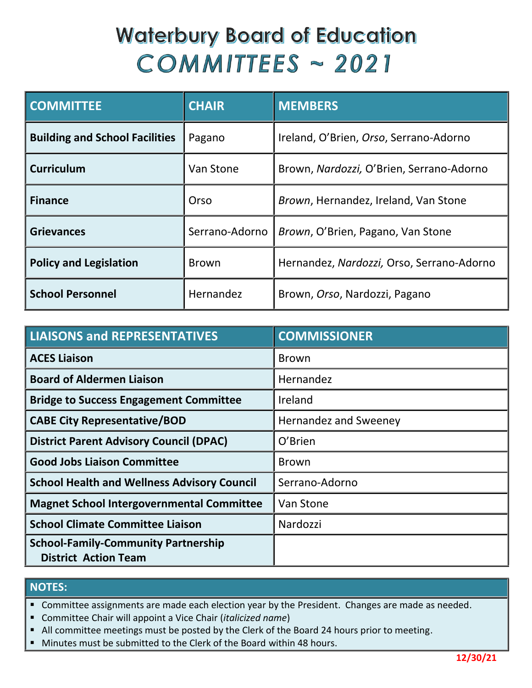# **Waterbury Board of Education**  $COMMITTEES \sim 2021$

| <b>COMMITTEE</b>                      | <b>CHAIR</b>   | <b>MEMBERS</b>                            |
|---------------------------------------|----------------|-------------------------------------------|
| <b>Building and School Facilities</b> | Pagano         | Ireland, O'Brien, Orso, Serrano-Adorno    |
| <b>Curriculum</b>                     | Van Stone      | Brown, Nardozzi, O'Brien, Serrano-Adorno  |
| <b>Finance</b>                        | Orso           | Brown, Hernandez, Ireland, Van Stone      |
| <b>Grievances</b>                     | Serrano-Adorno | Brown, O'Brien, Pagano, Van Stone         |
| <b>Policy and Legislation</b>         | <b>Brown</b>   | Hernandez, Nardozzi, Orso, Serrano-Adorno |
| <b>School Personnel</b>               | Hernandez      | Brown, Orso, Nardozzi, Pagano             |

| <b>LIAISONS and REPRESENTATIVES</b>                                       | <b>COMMISSIONER</b>   |
|---------------------------------------------------------------------------|-----------------------|
| <b>ACES Liaison</b>                                                       | <b>Brown</b>          |
| <b>Board of Aldermen Liaison</b>                                          | Hernandez             |
| <b>Bridge to Success Engagement Committee</b>                             | Ireland               |
| <b>CABE City Representative/BOD</b>                                       | Hernandez and Sweeney |
| <b>District Parent Advisory Council (DPAC)</b>                            | O'Brien               |
| <b>Good Jobs Liaison Committee</b>                                        | <b>Brown</b>          |
| <b>School Health and Wellness Advisory Council</b>                        | Serrano-Adorno        |
| <b>Magnet School Intergovernmental Committee</b>                          | Van Stone             |
| <b>School Climate Committee Liaison</b>                                   | Nardozzi              |
| <b>School-Family-Community Partnership</b><br><b>District Action Team</b> |                       |

### **NOTES:**

**E** Committee assignments are made each election year by the President. Changes are made as needed.

Committee Chair will appoint a Vice Chair (*italicized name*)

- All committee meetings must be posted by the Clerk of the Board 24 hours prior to meeting.
- Minutes must be submitted to the Clerk of the Board within 48 hours.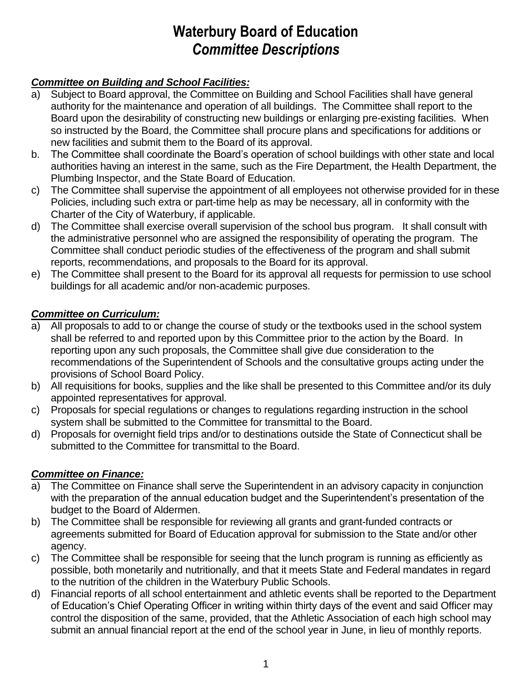# **Waterbury Board of Education** *Committee Descriptions*

# *Committee on Building and School Facilities:*

- a) Subject to Board approval, the Committee on Building and School Facilities shall have general authority for the maintenance and operation of all buildings. The Committee shall report to the Board upon the desirability of constructing new buildings or enlarging pre-existing facilities. When so instructed by the Board, the Committee shall procure plans and specifications for additions or new facilities and submit them to the Board of its approval.
- b. The Committee shall coordinate the Board's operation of school buildings with other state and local authorities having an interest in the same, such as the Fire Department, the Health Department, the Plumbing Inspector, and the State Board of Education.
- c) The Committee shall supervise the appointment of all employees not otherwise provided for in these Policies, including such extra or part-time help as may be necessary, all in conformity with the Charter of the City of Waterbury, if applicable.
- d) The Committee shall exercise overall supervision of the school bus program. It shall consult with the administrative personnel who are assigned the responsibility of operating the program. The Committee shall conduct periodic studies of the effectiveness of the program and shall submit reports, recommendations, and proposals to the Board for its approval.
- e) The Committee shall present to the Board for its approval all requests for permission to use school buildings for all academic and/or non-academic purposes.

# *Committee on Curriculum:*

- a) All proposals to add to or change the course of study or the textbooks used in the school system shall be referred to and reported upon by this Committee prior to the action by the Board. In reporting upon any such proposals, the Committee shall give due consideration to the recommendations of the Superintendent of Schools and the consultative groups acting under the provisions of School Board Policy.
- b) All requisitions for books, supplies and the like shall be presented to this Committee and/or its duly appointed representatives for approval.
- c) Proposals for special regulations or changes to regulations regarding instruction in the school system shall be submitted to the Committee for transmittal to the Board.
- d) Proposals for overnight field trips and/or to destinations outside the State of Connecticut shall be submitted to the Committee for transmittal to the Board.

# *Committee on Finance:*

- a) The Committee on Finance shall serve the Superintendent in an advisory capacity in conjunction with the preparation of the annual education budget and the Superintendent's presentation of the budget to the Board of Aldermen.
- b) The Committee shall be responsible for reviewing all grants and grant-funded contracts or agreements submitted for Board of Education approval for submission to the State and/or other agency.
- c) The Committee shall be responsible for seeing that the lunch program is running as efficiently as possible, both monetarily and nutritionally, and that it meets State and Federal mandates in regard to the nutrition of the children in the Waterbury Public Schools.
- d) Financial reports of all school entertainment and athletic events shall be reported to the Department of Education's Chief Operating Officer in writing within thirty days of the event and said Officer may control the disposition of the same, provided, that the Athletic Association of each high school may submit an annual financial report at the end of the school year in June, in lieu of monthly reports.